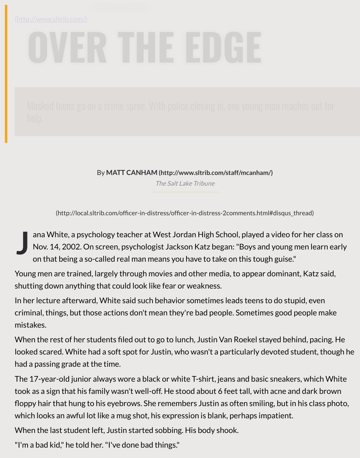By **MATT CANHAM (http://www.sltrib.com/staff/mcanham/)**

The Salt Lake Tribune

(http://local.sltrib.com/officer-in-distress/officer-in-distress-2comments.html#disqus\_th

**J** ana White, a psychology teacher at West Jordan High School, played a video for Nov. 14, 2002. On scr[een, psychologist Jackson Katz began: "Boys and y](http://www.sltrib.com/staff/mcanham/)oung m on that being a so-called real man m[eans you have to t](https://www.sltrib.com/)ake on this tough guise."

Young men are trained, largely through movies and other media, to appear dominant shutting do[wn anything that could look like fear or weakness.](http://local.sltrib.com/officer-in-distress/officer-in-distress-2comments.html#disqus_thread)

In her lecture afterward, White said such behavior sometimes leads teens to do stup criminal, things, but those actions don't mean they're bad people. Sometimes good people mistakes.

When the rest of her students filed out to go to lunch, Justin Van Roekel stayed behing looked scared. White had a soft spot for Justin, who wasn't a particularly devoted stu had a passing grade at the time.

The 17-year-old junior always wore a black or white T-shirt, jeans and basic sneakers took as a sign that his family wasn't well-off. He stood about 6 feet tall, with acne and floppy hair that hung to his eyebrows. She remembers Justin as often smiling, but in h which looks an awful lot like a mug shot, his expression is blank, perhaps impatient.

When the last student left, Justin started sobbing. His body shook.

"I'm a bad kid," he told her. "I've done bad things."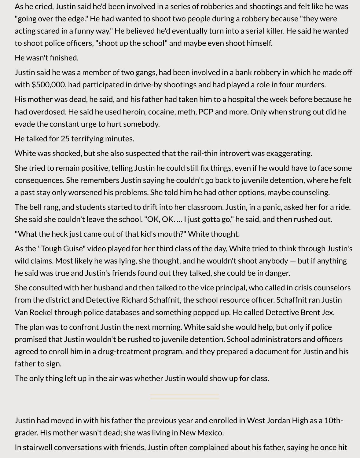As he cried, Justin said he'd been involved in a series of robberies and shootings and felt like he was "going over the edge." He had wanted to shoot two people during a robbery because "they were acting scared in a funny way." He believed he'd eventually turn into a serial killer. He said he wanted to shoot police officers, "shoot up the school" and maybe even shoot himself.

## He wasn't finished.

Justin said he was a member of two gangs, had been involved in a bank robbery in which he made off with \$500,000, had participated in drive-by shootings and had played a role in four murders.

His mother was dead, he said, and his father had taken him to a hospital the week before because he had overdosed. He said he used heroin, cocaine, meth, PCP and more. Only when strung out did he evade the constant urge to hurt somebody.

He talked for 25 terrifying minutes.

White was shocked, but she also suspected that the rail-thin introvert was exaggerating.

She tried to remain positive, telling Justin he could still fix things, even if he would have to face some consequences. She remembers Justin saying he couldn't go back to juvenile detention, where he felt a past stay only worsened his problems. She told him he had other options, maybe counseling.

The bell rang, and students started to drift into her classroom. Justin, in a panic, asked her for a ride. She said she couldn't leave the school. "OK, OK. … I just gotta go," he said, and then rushed out.

"What the heck just came out of that kid's mouth?" White thought.

As the "Tough Guise" video played for her third class of the day, White tried to think through Justin's wild claims. Most likely he was lying, she thought, and he wouldn't shoot anybody — but if anything he said was true and Justin's friends found out they talked, she could be in danger.

She consulted with her husband and then talked to the vice principal, who called in crisis counselors from the district and Detective Richard Schaffnit, the school resource officer. Schaffnit ran Justin Van Roekel through police databases and something popped up. He called Detective Brent Jex.

The plan was to confront Justin the next morning. White said she would help, but only if police promised that Justin wouldn't be rushed to juvenile detention. School administrators and officers agreed to enroll him in a drug-treatment program, and they prepared a document for Justin and his father to sign.

The only thing left up in the air was whether Justin would show up for class.

Justin had moved in with his father the previous year and enrolled in West Jordan High as a 10thgrader. His mother wasn't dead; she was living in New Mexico.

In stairwell conversations with friends, Justin often complained about his father, saying he once hit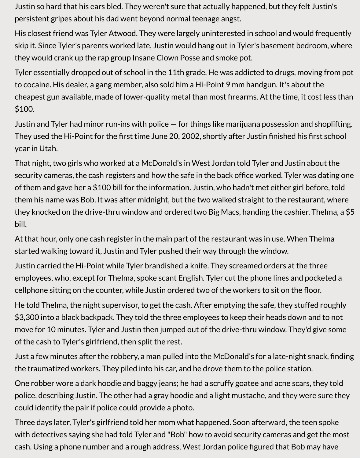Justin so hard that his ears bled. They weren't sure that actually happened, but they felt Justin's persistent gripes about his dad went beyond normal teenage angst.

His closest friend was Tyler Atwood. They were largely uninterested in school and would frequently skip it. Since Tyler's parents worked late, Justin would hang out in Tyler's basement bedroom, where they would crank up the rap group Insane Clown Posse and smoke pot.

Tyler essentially dropped out of school in the 11th grade. He was addicted to drugs, moving from pot to cocaine. His dealer, a gang member, also sold him a Hi-Point 9 mm handgun. It's about the cheapest gun available, made of lower-quality metal than most firearms. At the time, it cost less than \$100.

Justin and Tyler had minor run-ins with police — for things like marijuana possession and shoplifting. They used the Hi-Point for the first time June 20, 2002, shortly after Justin finished his first school year in Utah.

That night, two girls who worked at a McDonald's in West Jordan told Tyler and Justin about the security cameras, the cash registers and how the safe in the back office worked. Tyler was dating one of them and gave her a \$100 bill for the information. Justin, who hadn't met either girl before, told them his name was Bob. It was after midnight, but the two walked straight to the restaurant, where they knocked on the drive-thru window and ordered two Big Macs, handing the cashier, Thelma, a \$5 bill.

At that hour, only one cash register in the main part of the restaurant was in use. When Thelma started walking toward it, Justin and Tyler pushed their way through the window.

Justin carried the Hi-Point while Tyler brandished a knife. They screamed orders at the three employees, who, except for Thelma, spoke scant English. Tyler cut the phone lines and pocketed a cellphone sitting on the counter, while Justin ordered two of the workers to sit on the floor.

He told Thelma, the night supervisor, to get the cash. After emptying the safe, they stuffed roughly \$3,300 into a black backpack. They told the three employees to keep their heads down and to not move for 10 minutes. Tyler and Justin then jumped out of the drive-thru window. They'd give some of the cash to Tyler's girlfriend, then split the rest.

Just a few minutes after the robbery, a man pulled into the McDonald's for a late-night snack, finding the traumatized workers. They piled into his car, and he drove them to the police station.

One robber wore a dark hoodie and baggy jeans; he had a scruffy goatee and acne scars, they told police, describing Justin. The other had a gray hoodie and a light mustache, and they were sure they could identify the pair if police could provide a photo.

Three days later, Tyler's girlfriend told her mom what happened. Soon afterward, the teen spoke with detectives saying she had told Tyler and "Bob" how to avoid security cameras and get the most cash. Using a phone number and a rough address, West Jordan police figured that Bob may have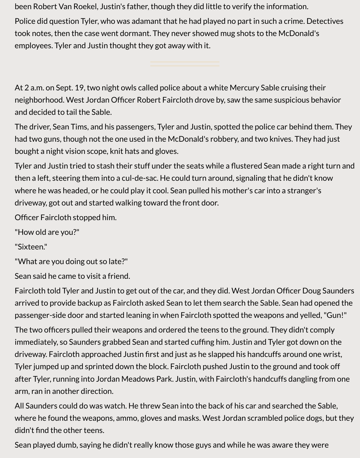been Robert Van Roekel, Justin's father, though they did little to verify the information.

Police did question Tyler, who was adamant that he had played no part in such a crime. Detectives took notes, then the case went dormant. They never showed mug shots to the McDonald's employees. Tyler and Justin thought they got away with it.

At 2 a.m. on Sept. 19, two night owls called police about a white Mercury Sable cruising their neighborhood. West Jordan Officer Robert Faircloth drove by, saw the same suspicious behavior and decided to tail the Sable.

The driver, Sean Tims, and his passengers, Tyler and Justin, spotted the police car behind them. They had two guns, though not the one used in the McDonald's robbery, and two knives. They had just bought a night vision scope, knit hats and gloves.

Tyler and Justin tried to stash their stuff under the seats while a flustered Sean made a right turn and then a left, steering them into a cul-de-sac. He could turn around, signaling that he didn't know where he was headed, or he could play it cool. Sean pulled his mother's car into a stranger's driveway, got out and started walking toward the front door.

Officer Faircloth stopped him.

"How old are you?"

"Sixteen."

"What are you doing out so late?"

Sean said he came to visit a friend.

Faircloth told Tyler and Justin to get out of the car, and they did. West Jordan Officer Doug Saunders arrived to provide backup as Faircloth asked Sean to let them search the Sable. Sean had opened the passenger-side door and started leaning in when Faircloth spotted the weapons and yelled, "Gun!"

The two officers pulled their weapons and ordered the teens to the ground. They didn't comply immediately, so Saunders grabbed Sean and started cuffing him. Justin and Tyler got down on the driveway. Faircloth approached Justin first and just as he slapped his handcuffs around one wrist, Tyler jumped up and sprinted down the block. Faircloth pushed Justin to the ground and took off after Tyler, running into Jordan Meadows Park. Justin, with Faircloth's handcuffs dangling from one arm, ran in another direction.

All Saunders could do was watch. He threw Sean into the back of his car and searched the Sable, where he found the weapons, ammo, gloves and masks. West Jordan scrambled police dogs, but they didn't find the other teens.

Sean played dumb, saying he didn't really know those guys and while he was aware they were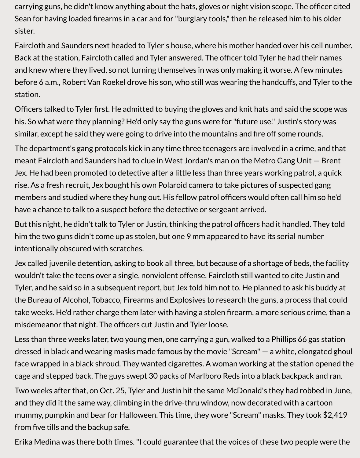carrying guns, he didn't know anything about the hats, gloves or night vision scope. The officer cited Sean for having loaded firearms in a car and for "burglary tools," then he released him to his older sister.

Faircloth and Saunders next headed to Tyler's house, where his mother handed over his cell number. Back at the station, Faircloth called and Tyler answered. The officer told Tyler he had their names and knew where they lived, so not turning themselves in was only making it worse. A few minutes before 6 a.m., Robert Van Roekel drove his son, who still was wearing the handcuffs, and Tyler to the station.

Officers talked to Tyler first. He admitted to buying the gloves and knit hats and said the scope was his. So what were they planning? He'd only say the guns were for "future use." Justin's story was similar, except he said they were going to drive into the mountains and fire off some rounds.

The department's gang protocols kick in any time three teenagers are involved in a crime, and that meant Faircloth and Saunders had to clue in West Jordan's man on the Metro Gang Unit — Brent Jex. He had been promoted to detective after a little less than three years working patrol, a quick rise. As a fresh recruit, Jex bought his own Polaroid camera to take pictures of suspected gang members and studied where they hung out. His fellow patrol officers would often call him so he'd have a chance to talk to a suspect before the detective or sergeant arrived.

But this night, he didn't talk to Tyler or Justin, thinking the patrol officers had it handled. They told him the two guns didn't come up as stolen, but one 9 mm appeared to have its serial number intentionally obscured with scratches.

Jex called juvenile detention, asking to book all three, but because of a shortage of beds, the facility wouldn't take the teens over a single, nonviolent offense. Faircloth still wanted to cite Justin and Tyler, and he said so in a subsequent report, but Jex told him not to. He planned to ask his buddy at the Bureau of Alcohol, Tobacco, Firearms and Explosives to research the guns, a process that could take weeks. He'd rather charge them later with having a stolen firearm, a more serious crime, than a misdemeanor that night. The officers cut Justin and Tyler loose.

Less than three weeks later, two young men, one carrying a gun, walked to a Phillips 66 gas station dressed in black and wearing masks made famous by the movie "Scream" — a white, elongated ghoul face wrapped in a black shroud. They wanted cigarettes. A woman working at the station opened the cage and stepped back. The guys swept 30 packs of Marlboro Reds into a black backpack and ran.

Two weeks after that, on Oct. 25, Tyler and Justin hit the same McDonald's they had robbed in June, and they did it the same way, climbing in the drive-thru window, now decorated with a cartoon mummy, pumpkin and bear for Halloween. This time, they wore "Scream" masks. They took \$2,419 from five tills and the backup safe.

Erika Medina was there both times. "I could guarantee that the voices of these two people were the